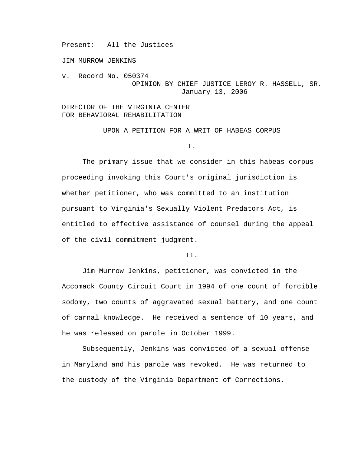Present: All the Justices

JIM MURROW JENKINS

v. Record No. 050374 OPINION BY CHIEF JUSTICE LEROY R. HASSELL, SR. January 13, 2006

DIRECTOR OF THE VIRGINIA CENTER FOR BEHAVIORAL REHABILITATION

UPON A PETITION FOR A WRIT OF HABEAS CORPUS

### I.

 The primary issue that we consider in this habeas corpus proceeding invoking this Court's original jurisdiction is whether petitioner, who was committed to an institution pursuant to Virginia's Sexually Violent Predators Act, is entitled to effective assistance of counsel during the appeal of the civil commitment judgment.

# II.

 Jim Murrow Jenkins, petitioner, was convicted in the Accomack County Circuit Court in 1994 of one count of forcible sodomy, two counts of aggravated sexual battery, and one count of carnal knowledge. He received a sentence of 10 years, and he was released on parole in October 1999.

Subsequently, Jenkins was convicted of a sexual offense in Maryland and his parole was revoked. He was returned to the custody of the Virginia Department of Corrections.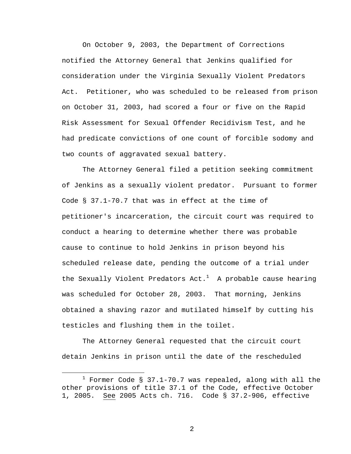On October 9, 2003, the Department of Corrections notified the Attorney General that Jenkins qualified for consideration under the Virginia Sexually Violent Predators Act. Petitioner, who was scheduled to be released from prison on October 31, 2003, had scored a four or five on the Rapid Risk Assessment for Sexual Offender Recidivism Test, and he had predicate convictions of one count of forcible sodomy and two counts of aggravated sexual battery.

The Attorney General filed a petition seeking commitment of Jenkins as a sexually violent predator. Pursuant to former Code § 37.1-70.7 that was in effect at the time of petitioner's incarceration, the circuit court was required to conduct a hearing to determine whether there was probable cause to continue to hold Jenkins in prison beyond his scheduled release date, pending the outcome of a trial under the Sexually Violent Predators Act. $^1$  A probable cause hearing was scheduled for October 28, 2003. That morning, Jenkins obtained a shaving razor and mutilated himself by cutting his testicles and flushing them in the toilet.

 The Attorney General requested that the circuit court detain Jenkins in prison until the date of the rescheduled

 $\overline{\phantom{a}}$  $1$  Former Code § 37.1-70.7 was repealed, along with all the other provisions of title 37.1 of the Code, effective October 1, 2005. See 2005 Acts ch. 716. Code § 37.2-906, effective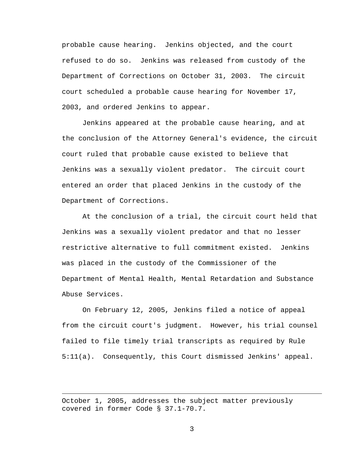probable cause hearing. Jenkins objected, and the court refused to do so. Jenkins was released from custody of the Department of Corrections on October 31, 2003. The circuit court scheduled a probable cause hearing for November 17, 2003, and ordered Jenkins to appear.

 Jenkins appeared at the probable cause hearing, and at the conclusion of the Attorney General's evidence, the circuit court ruled that probable cause existed to believe that Jenkins was a sexually violent predator. The circuit court entered an order that placed Jenkins in the custody of the Department of Corrections.

 At the conclusion of a trial, the circuit court held that Jenkins was a sexually violent predator and that no lesser restrictive alternative to full commitment existed. Jenkins was placed in the custody of the Commissioner of the Department of Mental Health, Mental Retardation and Substance Abuse Services.

 On February 12, 2005, Jenkins filed a notice of appeal from the circuit court's judgment. However, his trial counsel failed to file timely trial transcripts as required by Rule 5:11(a). Consequently, this Court dismissed Jenkins' appeal.

October 1, 2005, addresses the subject matter previously covered in former Code § 37.1-70.7.

i<br>Li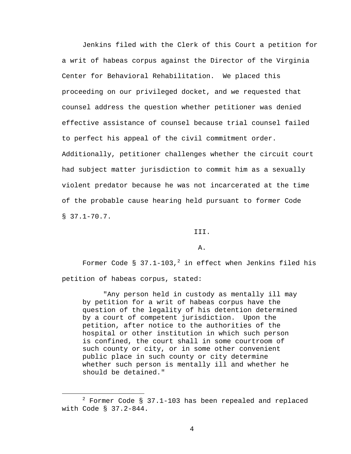Jenkins filed with the Clerk of this Court a petition for a writ of habeas corpus against the Director of the Virginia Center for Behavioral Rehabilitation. We placed this proceeding on our privileged docket, and we requested that counsel address the question whether petitioner was denied effective assistance of counsel because trial counsel failed to perfect his appeal of the civil commitment order. Additionally, petitioner challenges whether the circuit court had subject matter jurisdiction to commit him as a sexually violent predator because he was not incarcerated at the time of the probable cause hearing held pursuant to former Code  $$37.1-70.7.$ 

III.

A.

Former Code § 37.1-103, $^2$  in effect when Jenkins filed his petition of habeas corpus, stated:

 "Any person held in custody as mentally ill may by petition for a writ of habeas corpus have the question of the legality of his detention determined by a court of competent jurisdiction. Upon the petition, after notice to the authorities of the hospital or other institution in which such person is confined, the court shall in some courtroom of such county or city, or in some other convenient public place in such county or city determine whether such person is mentally ill and whether he should be detained."

 $\begin{array}{c|c}\n\hline\n\end{array}$  $2$  Former Code § 37.1-103 has been repealed and replaced with Code § 37.2-844.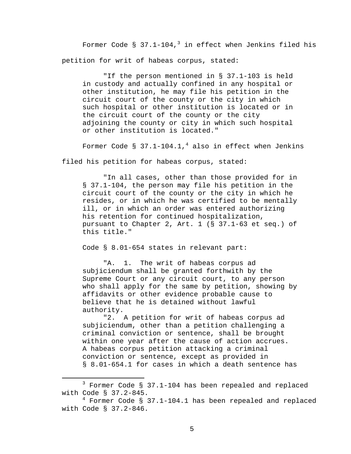Former Code §  $37.1$ -104, $^3$  in effect when Jenkins filed his petition for writ of habeas corpus, stated:

 "If the person mentioned in § 37.1-103 is held in custody and actually confined in any hospital or other institution, he may file his petition in the circuit court of the county or the city in which such hospital or other institution is located or in the circuit court of the county or the city adjoining the county or city in which such hospital or other institution is located."

Former Code §  $37.1-104.1,$ <sup>4</sup> also in effect when Jenkins

filed his petition for habeas corpus, stated:

 "In all cases, other than those provided for in § 37.1-104, the person may file his petition in the circuit court of the county or the city in which he resides, or in which he was certified to be mentally ill, or in which an order was entered authorizing his retention for continued hospitalization, pursuant to Chapter 2, Art. 1 (§ 37.1-63 et seq.) of this title."

Code § 8.01-654 states in relevant part:

"A. 1. The writ of habeas corpus ad subjiciendum shall be granted forthwith by the Supreme Court or any circuit court, to any person who shall apply for the same by petition, showing by affidavits or other evidence probable cause to believe that he is detained without lawful authority.

"2. A petition for writ of habeas corpus ad subjiciendum, other than a petition challenging a criminal conviction or sentence, shall be brought within one year after the cause of action accrues. A habeas corpus petition attacking a criminal conviction or sentence, except as provided in § 8.01-654.1 for cases in which a death sentence has

 $\overline{\phantom{a}}$  3 <sup>3</sup> Former Code § 37.1-104 has been repealed and replaced with Code § 37.2-845.

<sup>4</sup> Former Code § 37.1-104.1 has been repealed and replaced with Code § 37.2-846.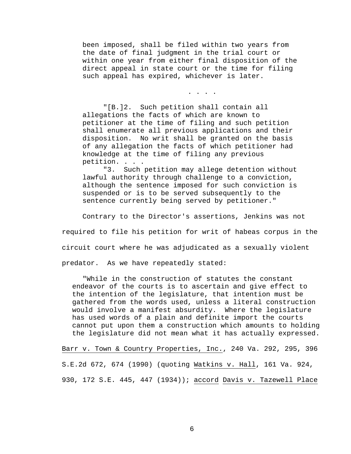been imposed, shall be filed within two years from the date of final judgment in the trial court or within one year from either final disposition of the direct appeal in state court or the time for filing such appeal has expired, whichever is later.

. . . .

"[B.]2. Such petition shall contain all allegations the facts of which are known to petitioner at the time of filing and such petition shall enumerate all previous applications and their disposition. No writ shall be granted on the basis of any allegation the facts of which petitioner had knowledge at the time of filing any previous petition. . . .

"3. Such petition may allege detention without lawful authority through challenge to a conviction, although the sentence imposed for such conviction is suspended or is to be served subsequently to the sentence currently being served by petitioner."

Contrary to the Director's assertions, Jenkins was not

required to file his petition for writ of habeas corpus in the

circuit court where he was adjudicated as a sexually violent

predator. As we have repeatedly stated:

"While in the construction of statutes the constant endeavor of the courts is to ascertain and give effect to the intention of the legislature, that intention must be gathered from the words used, unless a literal construction would involve a manifest absurdity. Where the legislature has used words of a plain and definite import the courts cannot put upon them a construction which amounts to holding the legislature did not mean what it has actually expressed.

Barr v. Town & Country Properties, Inc., 240 Va. 292, 295, 396 S.E.2d 672, 674 (1990) (quoting Watkins v. Hall, 161 Va. 924, 930, 172 S.E. 445, 447 (1934)); accord Davis v. Tazewell Place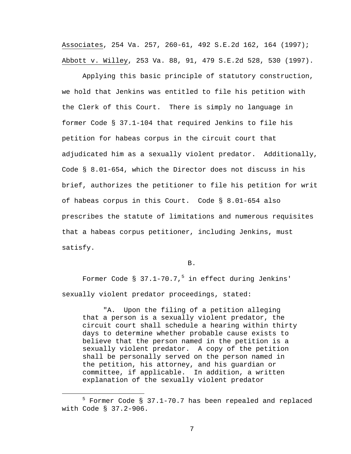Associates, 254 Va. 257, 260-61, 492 S.E.2d 162, 164 (1997); Abbott v. Willey, 253 Va. 88, 91, 479 S.E.2d 528, 530 (1997).

 Applying this basic principle of statutory construction, we hold that Jenkins was entitled to file his petition with the Clerk of this Court. There is simply no language in former Code § 37.1-104 that required Jenkins to file his petition for habeas corpus in the circuit court that adjudicated him as a sexually violent predator. Additionally, Code § 8.01-654, which the Director does not discuss in his brief, authorizes the petitioner to file his petition for writ of habeas corpus in this Court. Code § 8.01-654 also prescribes the statute of limitations and numerous requisites that a habeas corpus petitioner, including Jenkins, must satisfy.

B.

Former Code §  $37.1$ -70.7,<sup>5</sup> in effect during Jenkins' sexually violent predator proceedings, stated:

"A. Upon the filing of a petition alleging that a person is a sexually violent predator, the circuit court shall schedule a hearing within thirty days to determine whether probable cause exists to believe that the person named in the petition is a sexually violent predator. A copy of the petition shall be personally served on the person named in the petition, his attorney, and his guardian or committee, if applicable. In addition, a written explanation of the sexually violent predator

 $\frac{1}{5}$  $5$  Former Code § 37.1-70.7 has been repealed and replaced with Code § 37.2-906.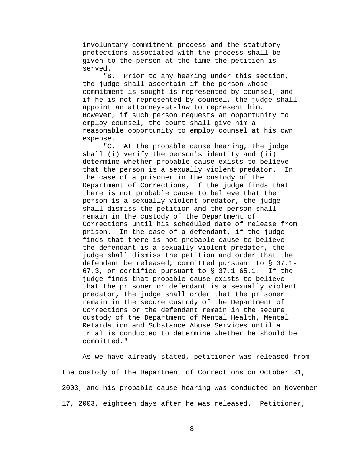involuntary commitment process and the statutory protections associated with the process shall be given to the person at the time the petition is served.

 "B. Prior to any hearing under this section, the judge shall ascertain if the person whose commitment is sought is represented by counsel, and if he is not represented by counsel, the judge shall appoint an attorney-at-law to represent him. However, if such person requests an opportunity to employ counsel, the court shall give him a reasonable opportunity to employ counsel at his own expense.

 "C. At the probable cause hearing, the judge shall (i) verify the person's identity and (ii) determine whether probable cause exists to believe that the person is a sexually violent predator. In the case of a prisoner in the custody of the Department of Corrections, if the judge finds that there is not probable cause to believe that the person is a sexually violent predator, the judge shall dismiss the petition and the person shall remain in the custody of the Department of Corrections until his scheduled date of release from prison. In the case of a defendant, if the judge finds that there is not probable cause to believe the defendant is a sexually violent predator, the judge shall dismiss the petition and order that the defendant be released, committed pursuant to § 37.1- 67.3, or certified pursuant to § 37.1-65.1. If the judge finds that probable cause exists to believe that the prisoner or defendant is a sexually violent predator, the judge shall order that the prisoner remain in the secure custody of the Department of Corrections or the defendant remain in the secure custody of the Department of Mental Health, Mental Retardation and Substance Abuse Services until a trial is conducted to determine whether he should be committed."

 As we have already stated, petitioner was released from the custody of the Department of Corrections on October 31, 2003, and his probable cause hearing was conducted on November 17, 2003, eighteen days after he was released. Petitioner,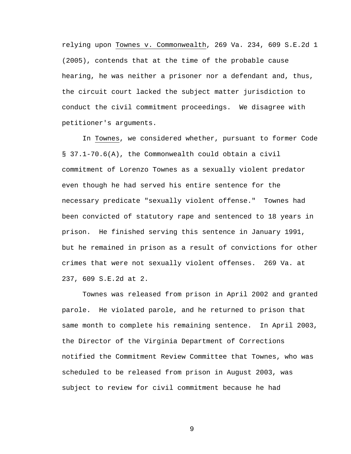relying upon Townes v. Commonwealth, 269 Va. 234, 609 S.E.2d 1 (2005), contends that at the time of the probable cause hearing, he was neither a prisoner nor a defendant and, thus, the circuit court lacked the subject matter jurisdiction to conduct the civil commitment proceedings. We disagree with petitioner's arguments.

 In Townes, we considered whether, pursuant to former Code § 37.1-70.6(A), the Commonwealth could obtain a civil commitment of Lorenzo Townes as a sexually violent predator even though he had served his entire sentence for the necessary predicate "sexually violent offense." Townes had been convicted of statutory rape and sentenced to 18 years in prison. He finished serving this sentence in January 1991, but he remained in prison as a result of convictions for other crimes that were not sexually violent offenses. 269 Va. at 237, 609 S.E.2d at 2.

Townes was released from prison in April 2002 and granted parole. He violated parole, and he returned to prison that same month to complete his remaining sentence. In April 2003, the Director of the Virginia Department of Corrections notified the Commitment Review Committee that Townes, who was scheduled to be released from prison in August 2003, was subject to review for civil commitment because he had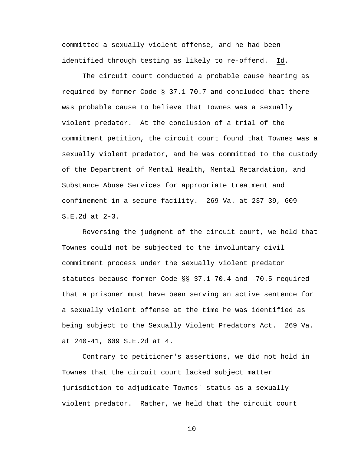committed a sexually violent offense, and he had been identified through testing as likely to re-offend. Id.

 The circuit court conducted a probable cause hearing as required by former Code § 37.1-70.7 and concluded that there was probable cause to believe that Townes was a sexually violent predator. At the conclusion of a trial of the commitment petition, the circuit court found that Townes was a sexually violent predator, and he was committed to the custody of the Department of Mental Health, Mental Retardation, and Substance Abuse Services for appropriate treatment and confinement in a secure facility. 269 Va. at 237-39, 609 S.E.2d at 2-3.

 Reversing the judgment of the circuit court, we held that Townes could not be subjected to the involuntary civil commitment process under the sexually violent predator statutes because former Code §§ 37.1-70.4 and -70.5 required that a prisoner must have been serving an active sentence for a sexually violent offense at the time he was identified as being subject to the Sexually Violent Predators Act. 269 Va. at 240-41, 609 S.E.2d at 4.

Contrary to petitioner's assertions, we did not hold in Townes that the circuit court lacked subject matter jurisdiction to adjudicate Townes' status as a sexually violent predator. Rather, we held that the circuit court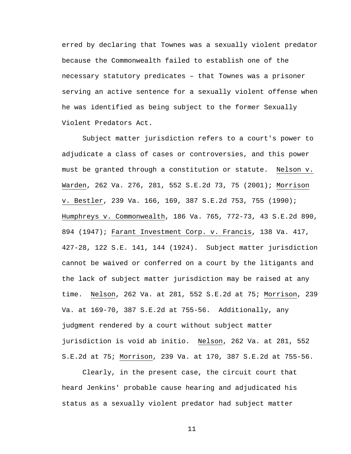erred by declaring that Townes was a sexually violent predator because the Commonwealth failed to establish one of the necessary statutory predicates – that Townes was a prisoner serving an active sentence for a sexually violent offense when he was identified as being subject to the former Sexually Violent Predators Act.

Subject matter jurisdiction refers to a court's power to adjudicate a class of cases or controversies, and this power must be granted through a constitution or statute. Nelson v. Warden, 262 Va. 276, 281, 552 S.E.2d 73, 75 (2001); Morrison v. Bestler, 239 Va. 166, 169, 387 S.E.2d 753, 755 (1990); Humphreys v. Commonwealth, 186 Va. 765, 772-73, 43 S.E.2d 890, 894 (1947); Farant Investment Corp. v. Francis, 138 Va. 417, 427-28, 122 S.E. 141, 144 (1924). Subject matter jurisdiction cannot be waived or conferred on a court by the litigants and the lack of subject matter jurisdiction may be raised at any time. Nelson, 262 Va. at 281, 552 S.E.2d at 75; Morrison, 239 Va. at 169-70, 387 S.E.2d at 755-56. Additionally, any judgment rendered by a court without subject matter jurisdiction is void ab initio. Nelson, 262 Va. at 281, 552 S.E.2d at 75; Morrison, 239 Va. at 170, 387 S.E.2d at 755-56.

Clearly, in the present case, the circuit court that heard Jenkins' probable cause hearing and adjudicated his status as a sexually violent predator had subject matter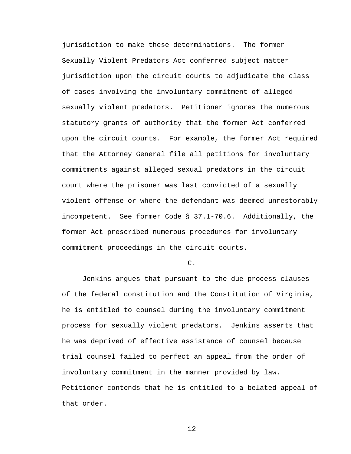jurisdiction to make these determinations. The former Sexually Violent Predators Act conferred subject matter jurisdiction upon the circuit courts to adjudicate the class of cases involving the involuntary commitment of alleged sexually violent predators. Petitioner ignores the numerous statutory grants of authority that the former Act conferred upon the circuit courts. For example, the former Act required that the Attorney General file all petitions for involuntary commitments against alleged sexual predators in the circuit court where the prisoner was last convicted of a sexually violent offense or where the defendant was deemed unrestorably incompetent. See former Code § 37.1-70.6. Additionally, the former Act prescribed numerous procedures for involuntary commitment proceedings in the circuit courts.

### $C<sub>1</sub>$

 Jenkins argues that pursuant to the due process clauses of the federal constitution and the Constitution of Virginia, he is entitled to counsel during the involuntary commitment process for sexually violent predators. Jenkins asserts that he was deprived of effective assistance of counsel because trial counsel failed to perfect an appeal from the order of involuntary commitment in the manner provided by law. Petitioner contends that he is entitled to a belated appeal of that order.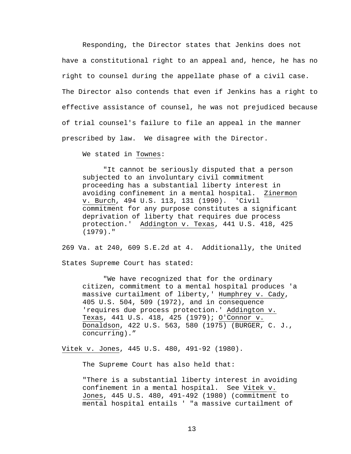Responding, the Director states that Jenkins does not have a constitutional right to an appeal and, hence, he has no right to counsel during the appellate phase of a civil case. The Director also contends that even if Jenkins has a right to effective assistance of counsel, he was not prejudiced because of trial counsel's failure to file an appeal in the manner prescribed by law. We disagree with the Director.

We stated in Townes:

"It cannot be seriously disputed that a person subjected to an involuntary civil commitment proceeding has a substantial liberty interest in avoiding confinement in a mental hospital. Zinermon v. Burch, 494 U.S. 113, 131 (1990). 'Civil commitment for any purpose constitutes a significant deprivation of liberty that requires due process protection.' Addington v. Texas, 441 U.S. 418, 425 (1979)."

269 Va. at 240, 609 S.E.2d at 4. Additionally, the United States Supreme Court has stated:

"We have recognized that for the ordinary citizen, commitment to a mental hospital produces 'a massive curtailment of liberty,' Humphrey v. Cady, 405 U.S. 504, 509 (1972), and in consequence 'requires due process protection.' Addington v. Texas, 441 U.S. 418, 425 (1979); O'Connor v. Donaldson, 422 U.S. 563, 580 (1975) (BURGER, C. J., concurring)."

Vitek v. Jones, 445 U.S. 480, 491-92 (1980).

The Supreme Court has also held that:

"There is a substantial liberty interest in avoiding confinement in a mental hospital. See Vitek v. Jones, 445 U.S. 480, 491-492 (1980) (commitment to mental hospital entails ' "a massive curtailment of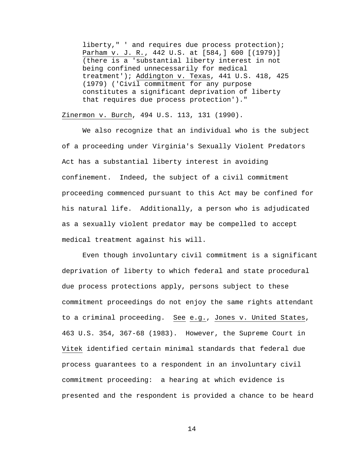liberty," ' and requires due process protection); Parham v. J. R*.*, 442 U.S. at [584,] 600 [(1979)] (there is a 'substantial liberty interest in not being confined unnecessarily for medical treatment'); Addington v. Texas, 441 U.S. 418, 425 (1979) ('Civil commitment for any purpose constitutes a significant deprivation of liberty that requires due process protection')."

### Zinermon v. Burch, 494 U.S. 113, 131 (1990).

 We also recognize that an individual who is the subject of a proceeding under Virginia's Sexually Violent Predators Act has a substantial liberty interest in avoiding confinement. Indeed, the subject of a civil commitment proceeding commenced pursuant to this Act may be confined for his natural life. Additionally, a person who is adjudicated as a sexually violent predator may be compelled to accept medical treatment against his will.

 Even though involuntary civil commitment is a significant deprivation of liberty to which federal and state procedural due process protections apply, persons subject to these commitment proceedings do not enjoy the same rights attendant to a criminal proceeding. See e.g., Jones v. United States, 463 U.S. 354, 367-68 (1983). However, the Supreme Court in Vitek identified certain minimal standards that federal due process guarantees to a respondent in an involuntary civil commitment proceeding: a hearing at which evidence is presented and the respondent is provided a chance to be heard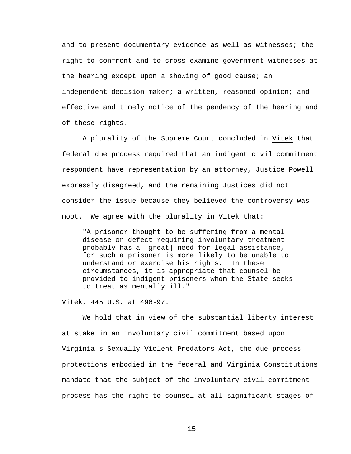and to present documentary evidence as well as witnesses; the right to confront and to cross-examine government witnesses at the hearing except upon a showing of good cause; an independent decision maker; a written, reasoned opinion; and effective and timely notice of the pendency of the hearing and of these rights.

A plurality of the Supreme Court concluded in Vitek that federal due process required that an indigent civil commitment respondent have representation by an attorney, Justice Powell expressly disagreed, and the remaining Justices did not consider the issue because they believed the controversy was moot. We agree with the plurality in Vitek that:

"A prisoner thought to be suffering from a mental disease or defect requiring involuntary treatment probably has a [great] need for legal assistance, for such a prisoner is more likely to be unable to understand or exercise his rights. In these circumstances, it is appropriate that counsel be provided to indigent prisoners whom the State seeks to treat as mentally ill."

Vitek, 445 U.S. at 496-97.

We hold that in view of the substantial liberty interest at stake in an involuntary civil commitment based upon Virginia's Sexually Violent Predators Act, the due process protections embodied in the federal and Virginia Constitutions mandate that the subject of the involuntary civil commitment process has the right to counsel at all significant stages of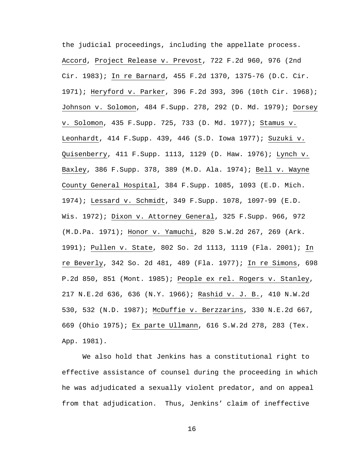the judicial proceedings, including the appellate process. Accord, Project Release v. Prevost, 722 F.2d 960, 976 (2nd Cir. 1983); In re Barnard, 455 F.2d 1370, 1375-76 (D.C. Cir. 1971); Heryford v. Parker, 396 F.2d 393, 396 (10th Cir. 1968); Johnson v. Solomon, 484 F.Supp. 278, 292 (D. Md. 1979); Dorsey v. Solomon, 435 F.Supp. 725, 733 (D. Md. 1977); Stamus v. Leonhardt, 414 F.Supp. 439, 446 (S.D. Iowa 1977); Suzuki v. Quisenberry, 411 F.Supp. 1113, 1129 (D. Haw. 1976); Lynch v. Baxley, 386 F.Supp. 378, 389 (M.D. Ala. 1974); Bell v. Wayne County General Hospital, 384 F.Supp. 1085, 1093 (E.D. Mich. 1974); Lessard v. Schmidt, 349 F.Supp. 1078, 1097-99 (E.D. Wis. 1972); Dixon v. Attorney General, 325 F.Supp. 966, 972 (M.D.Pa. 1971); Honor v. Yamuchi, 820 S.W.2d 267, 269 (Ark. 1991); Pullen v. State, 802 So. 2d 1113, 1119 (Fla. 2001); In re Beverly, 342 So. 2d 481, 489 (Fla. 1977); In re Simons, 698 P.2d 850, 851 (Mont. 1985); People ex rel. Rogers v. Stanley, 217 N.E.2d 636, 636 (N.Y. 1966); Rashid v. J. B., 410 N.W.2d 530, 532 (N.D. 1987); McDuffie v. Berzzarins, 330 N.E.2d 667, 669 (Ohio 1975); Ex parte Ullmann, 616 S.W.2d 278, 283 (Tex. App. 1981).

 We also hold that Jenkins has a constitutional right to effective assistance of counsel during the proceeding in which he was adjudicated a sexually violent predator, and on appeal from that adjudication. Thus, Jenkins' claim of ineffective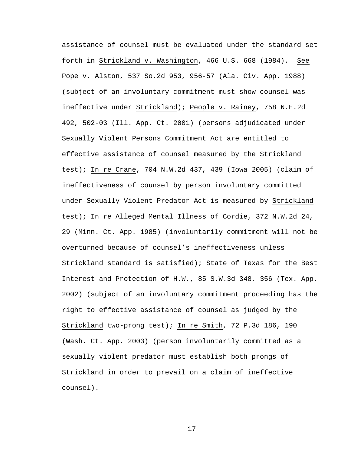assistance of counsel must be evaluated under the standard set forth in Strickland v. Washington, 466 U.S. 668 (1984). See Pope v. Alston, 537 So.2d 953, 956-57 (Ala. Civ. App. 1988) (subject of an involuntary commitment must show counsel was ineffective under Strickland); People v. Rainey, 758 N.E.2d 492, 502-03 (Ill. App. Ct. 2001) (persons adjudicated under Sexually Violent Persons Commitment Act are entitled to effective assistance of counsel measured by the Strickland test); In re Crane, 704 N.W.2d 437, 439 (Iowa 2005) (claim of ineffectiveness of counsel by person involuntary committed under Sexually Violent Predator Act is measured by Strickland test); In re Alleged Mental Illness of Cordie, 372 N.W.2d 24, 29 (Minn. Ct. App. 1985) (involuntarily commitment will not be overturned because of counsel's ineffectiveness unless Strickland standard is satisfied); State of Texas for the Best Interest and Protection of H.W., 85 S.W.3d 348, 356 (Tex. App. 2002) (subject of an involuntary commitment proceeding has the right to effective assistance of counsel as judged by the Strickland two-prong test); In re Smith, 72 P.3d 186, 190 (Wash. Ct. App. 2003) (person involuntarily committed as a sexually violent predator must establish both prongs of Strickland in order to prevail on a claim of ineffective counsel).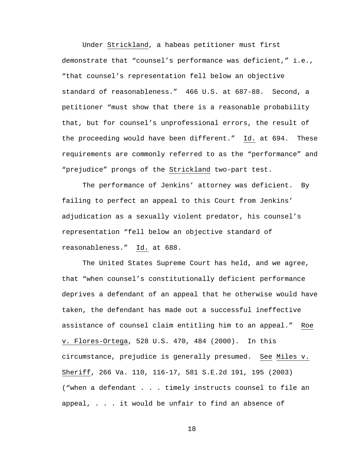Under Strickland, a habeas petitioner must first demonstrate that "counsel's performance was deficient," i.e., "that counsel's representation fell below an objective standard of reasonableness." 466 U.S. at 687-88. Second, a petitioner "must show that there is a reasonable probability that, but for counsel's unprofessional errors, the result of the proceeding would have been different." Id. at 694. These requirements are commonly referred to as the "performance" and "prejudice" prongs of the Strickland two-part test.

 The performance of Jenkins' attorney was deficient. By failing to perfect an appeal to this Court from Jenkins' adjudication as a sexually violent predator, his counsel's representation "fell below an objective standard of reasonableness." Id. at 688.

The United States Supreme Court has held, and we agree, that "when counsel's constitutionally deficient performance deprives a defendant of an appeal that he otherwise would have taken, the defendant has made out a successful ineffective assistance of counsel claim entitling him to an appeal." Roe v. Flores-Ortega, 528 U.S. 470, 484 (2000). In this circumstance, prejudice is generally presumed. See Miles v. Sheriff, 266 Va. 110, 116-17, 581 S.E.2d 191, 195 (2003) ("when a defendant . . . timely instructs counsel to file an appeal, . . . it would be unfair to find an absence of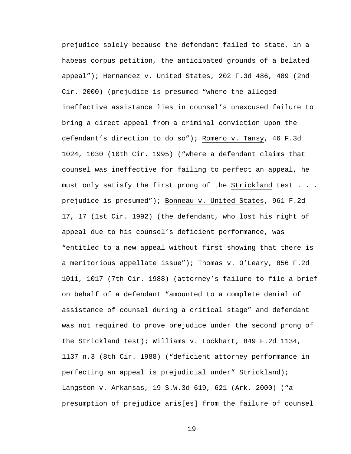prejudice solely because the defendant failed to state, in a habeas corpus petition, the anticipated grounds of a belated appeal"); Hernandez v. United States, 202 F.3d 486, 489 (2nd Cir. 2000) (prejudice is presumed "where the alleged ineffective assistance lies in counsel's unexcused failure to bring a direct appeal from a criminal conviction upon the defendant's direction to do so"); Romero v. Tansy, 46 F.3d 1024, 1030 (10th Cir. 1995) ("where a defendant claims that counsel was ineffective for failing to perfect an appeal, he must only satisfy the first prong of the Strickland test . . . prejudice is presumed"); Bonneau v. United States, 961 F.2d 17, 17 (1st Cir. 1992) (the defendant, who lost his right of appeal due to his counsel's deficient performance, was "entitled to a new appeal without first showing that there is a meritorious appellate issue"); Thomas v. O'Leary, 856 F.2d 1011, 1017 (7th Cir. 1988) (attorney's failure to file a brief on behalf of a defendant "amounted to a complete denial of assistance of counsel during a critical stage" and defendant was not required to prove prejudice under the second prong of the Strickland test); Williams v. Lockhart, 849 F.2d 1134, 1137 n.3 (8th Cir. 1988) ("deficient attorney performance in perfecting an appeal is prejudicial under" Strickland); Langston v. Arkansas, 19 S.W.3d 619, 621 (Ark. 2000) ("a presumption of prejudice aris[es] from the failure of counsel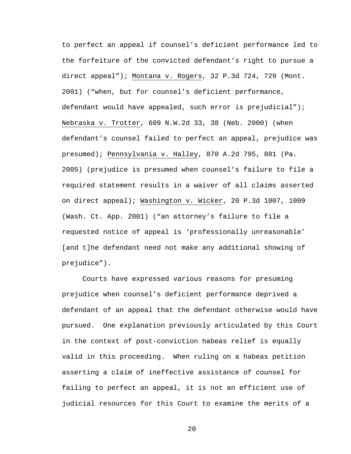to perfect an appeal if counsel's deficient performance led to the forfeiture of the convicted defendant's right to pursue a direct appeal"); Montana v. Rogers, 32 P.3d 724, 729 (Mont. 2001) ("when, but for counsel's deficient performance, defendant would have appealed, such error is prejudicial"); Nebraska v. Trotter, 609 N.W.2d 33, 38 (Neb. 2000) (when defendant's counsel failed to perfect an appeal, prejudice was presumed); Pennsylvania v. Halley, 870 A.2d 795, 801 (Pa. 2005) (prejudice is presumed when counsel's failure to file a required statement results in a waiver of all claims asserted on direct appeal); Washington v. Wicker, 20 P.3d 1007, 1009 (Wash. Ct. App. 2001) ("an attorney's failure to file a requested notice of appeal is 'professionally unreasonable' [and t]he defendant need not make any additional showing of prejudice").

Courts have expressed various reasons for presuming prejudice when counsel's deficient performance deprived a defendant of an appeal that the defendant otherwise would have pursued. One explanation previously articulated by this Court in the context of post-conviction habeas relief is equally valid in this proceeding. When ruling on a habeas petition asserting a claim of ineffective assistance of counsel for failing to perfect an appeal, it is not an efficient use of judicial resources for this Court to examine the merits of a